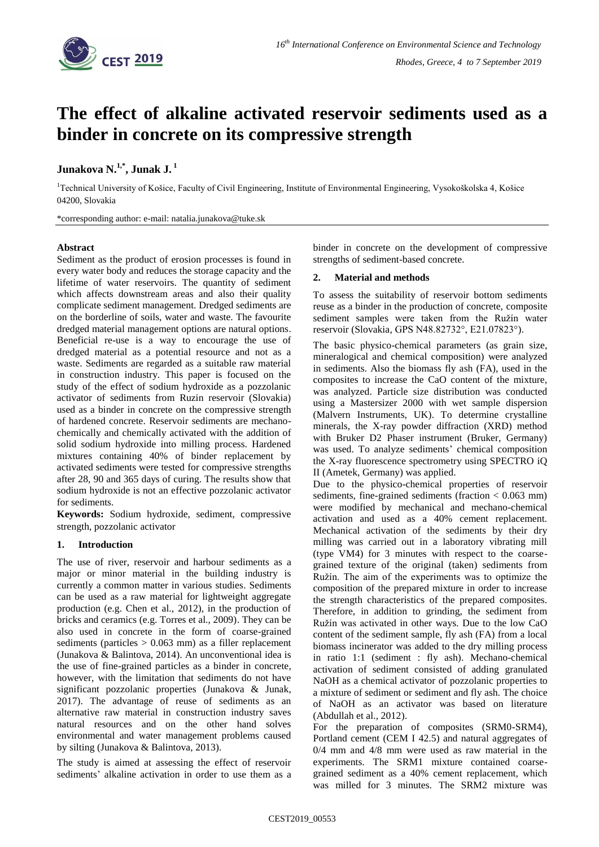

# **The effect of alkaline activated reservoir sediments used as a binder in concrete on its compressive strength**

# **Junakova N. 1,\* , Junak J. <sup>1</sup>**

<sup>1</sup>Technical University of Košice, Faculty of Civil Engineering, Institute of Environmental Engineering, Vysokoškolska 4, Košice 04200, Slovakia

\*corresponding author: e-mail: natalia.junakova@tuke.sk

### **Abstract**

Sediment as the product of erosion processes is found in every water body and reduces the storage capacity and the lifetime of water reservoirs. The quantity of sediment which affects downstream areas and also their quality complicate sediment management. Dredged sediments are on the borderline of soils, water and waste. The favourite dredged material management options are natural options. Beneficial re-use is a way to encourage the use of dredged material as a potential resource and not as a waste. Sediments are regarded as a suitable raw material in construction industry. This paper is focused on the study of the effect of sodium hydroxide as a pozzolanic activator of sediments from Ruzin reservoir (Slovakia) used as a binder in concrete on the compressive strength of hardened concrete. Reservoir sediments are mechanochemically and chemically activated with the addition of solid sodium hydroxide into milling process. Hardened mixtures containing 40% of binder replacement by activated sediments were tested for compressive strengths after 28, 90 and 365 days of curing. The results show that sodium hydroxide is not an effective pozzolanic activator for sediments.

**Keywords:** Sodium hydroxide, sediment, compressive strength, pozzolanic activator

## **1. Introduction**

The use of river, reservoir and harbour sediments as a major or minor material in the building industry is currently a common matter in various studies. Sediments can be used as a raw material for lightweight aggregate production (e.g. Chen et al., 2012), in the production of bricks and ceramics (e.g. Torres et al., 2009). They can be also used in concrete in the form of coarse-grained sediments (particles  $> 0.063$  mm) as a filler replacement (Junakova & Balintova, 2014). An unconventional idea is the use of fine-grained particles as a binder in concrete, however, with the limitation that sediments do not have significant pozzolanic properties (Junakova & Junak, 2017). The advantage of reuse of sediments as an alternative raw material in construction industry saves natural resources and on the other hand solves environmental and water management problems caused by silting (Junakova & Balintova, 2013).

The study is aimed at assessing the effect of reservoir sediments' alkaline activation in order to use them as a binder in concrete on the development of compressive strengths of sediment-based concrete.

### **2. Material and methods**

To assess the suitability of reservoir bottom sediments reuse as a binder in the production of concrete, composite sediment samples were taken from the Ružín water reservoir (Slovakia, GPS N48.82732°, E21.07823°).

The basic physico-chemical parameters (as grain size, mineralogical and chemical composition) were analyzed in sediments. Also the biomass fly ash (FA), used in the composites to increase the CaO content of the mixture, was analyzed. Particle size distribution was conducted using a Mastersizer 2000 with wet sample dispersion (Malvern Instruments, UK). To determine crystalline minerals, the X-ray powder diffraction (XRD) method with Bruker D2 Phaser instrument (Bruker, Germany) was used. To analyze sediments' chemical composition the X-ray fluorescence spectrometry using SPECTRO iQ II (Ametek, Germany) was applied.

Due to the physico-chemical properties of reservoir sediments, fine-grained sediments (fraction < 0.063 mm) were modified by mechanical and mechano-chemical activation and used as a 40% cement replacement. Mechanical activation of the sediments by their dry milling was carried out in a laboratory vibrating mill (type VM4) for 3 minutes with respect to the coarsegrained texture of the original (taken) sediments from Ružín. The aim of the experiments was to optimize the composition of the prepared mixture in order to increase the strength characteristics of the prepared composites. Therefore, in addition to grinding, the sediment from Ružín was activated in other ways. Due to the low CaO content of the sediment sample, fly ash (FA) from a local biomass incinerator was added to the dry milling process in ratio 1:1 (sediment : fly ash). Mechano-chemical activation of sediment consisted of adding granulated NaOH as a chemical activator of pozzolanic properties to a mixture of sediment or sediment and fly ash. The choice of NaOH as an activator was based on literature (Abdullah et al., 2012).

For the preparation of composites (SRM0-SRM4), Portland cement (CEM I 42.5) and natural aggregates of 0/4 mm and 4/8 mm were used as raw material in the experiments. The SRM1 mixture contained coarsegrained sediment as a 40% cement replacement, which was milled for 3 minutes. The SRM2 mixture was